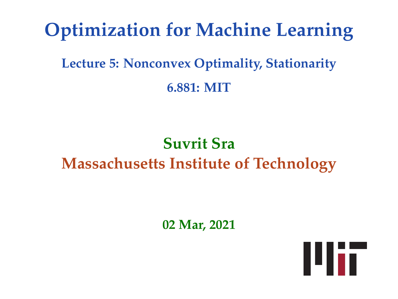# **Optimization for Machine Learning**

## **Lecture 5: Nonconvex Optimality, Stationarity 6.881: MIT**

# **Suvrit Sra Massachusetts Institute of Technology**

**02 Mar, 2021**

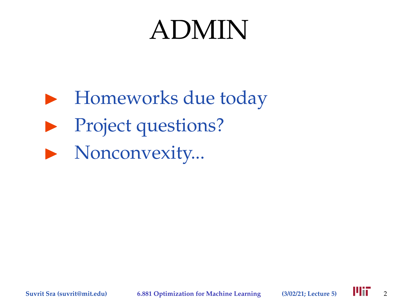# ADMIN

- $\blacktriangleright$  Homeworks due today
- $\blacktriangleright$  Project questions?
- $\blacktriangleright$  Nonconvexity...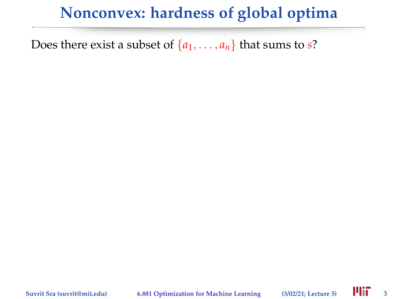Does there exist a subset of  $\{a_1, \ldots, a_n\}$  that sums to *s*?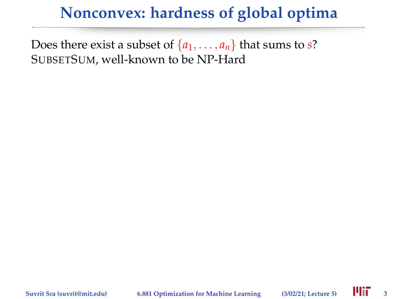Does there exist a subset of  $\{a_1, \ldots, a_n\}$  that sums to *s*? SUBSETSUM, well-known to be NP-Hard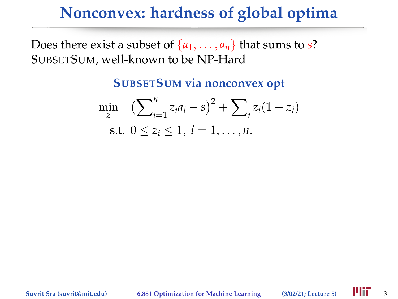Does there exist a subset of  $\{a_1, \ldots, a_n\}$  that sums to *s*? SUBSETSUM, well-known to be NP-Hard

**SUBSETSUM via nonconvex opt**

$$
\min_{z} \left( \sum_{i=1}^{n} z_i a_i - s \right)^2 + \sum_{i} z_i (1 - z_i)
$$
  
s.t.  $0 \le z_i \le 1, i = 1, ..., n$ .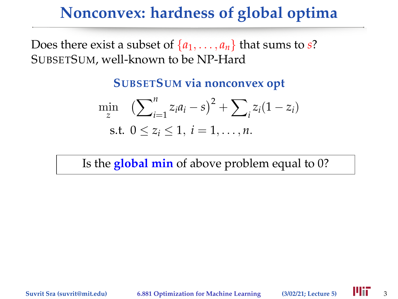Does there exist a subset of  $\{a_1, \ldots, a_n\}$  that sums to *s*? SUBSETSUM, well-known to be NP-Hard

**SUBSETSUM via nonconvex opt**

$$
\min_{z} \left( \sum_{i=1}^{n} z_i a_i - s \right)^2 + \sum_{i} z_i (1 - z_i)
$$
  
s.t.  $0 \le z_i \le 1, i = 1, ..., n$ .

Is the **global min** of above problem equal to 0?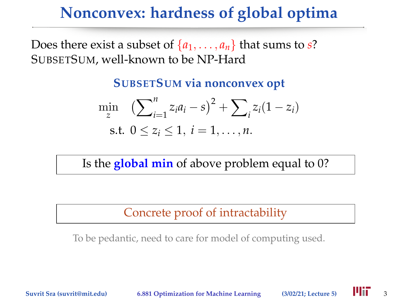Does there exist a subset of  $\{a_1, \ldots, a_n\}$  that sums to *s*? SUBSETSUM, well-known to be NP-Hard

**SUBSETSUM via nonconvex opt**

$$
\min_{z} \left( \sum_{i=1}^{n} z_i a_i - s \right)^2 + \sum_{i} z_i (1 - z_i)
$$
  
s.t.  $0 \le z_i \le 1, i = 1, ..., n$ .

Is the **global min** of above problem equal to 0?

Concrete proof of intractability

To be pedantic, need to care for model of computing used.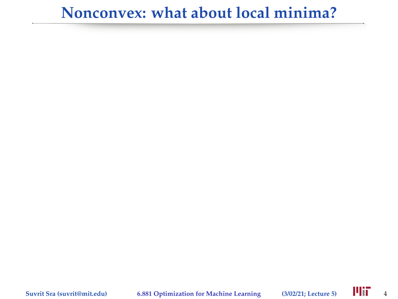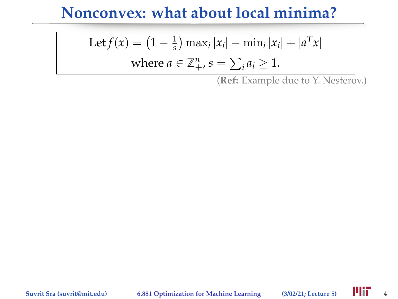Let 
$$
f(x) = (1 - \frac{1}{s}) \max_i |x_i| - \min_i |x_i| + |a^T x|
$$

where 
$$
a \in \mathbb{Z}_+^n
$$
,  $s = \sum_i a_i \ge 1$ .

(**Ref:** Example due to Y. Nesterov.)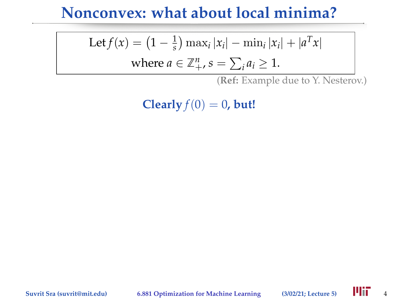Let 
$$
f(x) = (1 - \frac{1}{s}) \max_i |x_i| - \min_i |x_i| + |a^T x|
$$

where 
$$
a \in \mathbb{Z}_+^n
$$
,  $s = \sum_i a_i \ge 1$ .

(**Ref:** Example due to Y. Nesterov.)

**Clearly**  $f(0) = 0$ , but!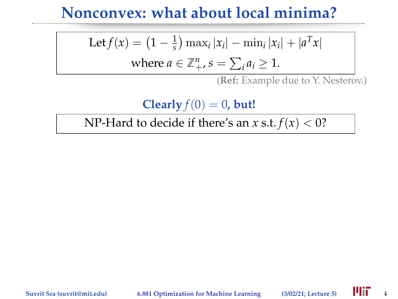Let 
$$
f(x) = (1 - \frac{1}{s}) \max_i |x_i| - \min_i |x_i| + |a^T x|
$$

where 
$$
a \in \mathbb{Z}_+^n
$$
,  $s = \sum_i a_i \ge 1$ .

(**Ref:** Example due to Y. Nesterov.)

**Clearly**  $f(0) = 0$ , but!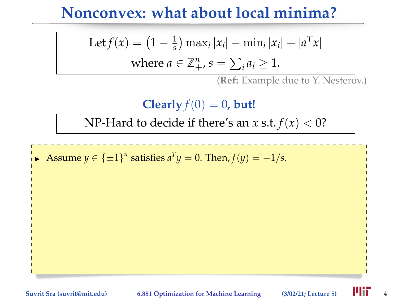Let 
$$
f(x) = (1 - \frac{1}{s}) \max_i |x_i| - \min_i |x_i| + |a^T x|
$$

where 
$$
a \in \mathbb{Z}_+^n
$$
,  $s = \sum_i a_i \ge 1$ .

(**Ref:** Example due to Y. Nesterov.)

**Clearly**  $f(0) = 0$ , but!

NP-Hard to decide if there's an *x* s.t.  $f(x) < 0$ ?

Assume  $y \in {\pm 1}^n$  satisfies  $a^T y = 0$ . Then,  $f(y) = -1/s$ .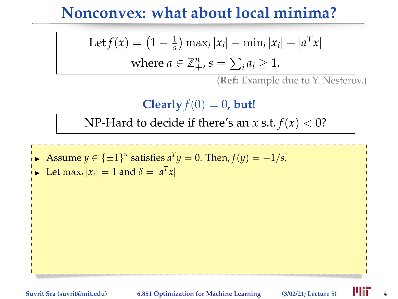Let 
$$
f(x) = (1 - \frac{1}{s}) \max_i |x_i| - \min_i |x_i| + |a^T x|
$$

where 
$$
a \in \mathbb{Z}_+^n
$$
,  $s = \sum_i a_i \ge 1$ .

(**Ref:** Example due to Y. Nesterov.)

**Clearly**  $f(0) = 0$ , but!

- Assume  $y \in {\pm 1}^n$  satisfies  $a^T y = 0$ . Then,  $f(y) = -1/s$ .
- $\blacktriangleright$  Let  $\max_i |x_i| = 1$  and  $\delta = |a^T x|$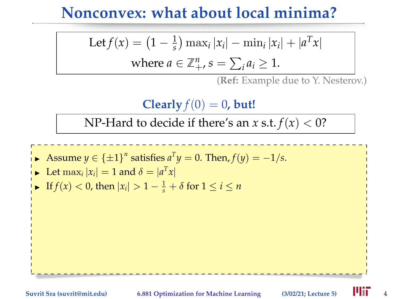Let 
$$
f(x) = (1 - \frac{1}{s}) \max_i |x_i| - \min_i |x_i| + |a^T x|
$$

where 
$$
a \in \mathbb{Z}_+^n
$$
,  $s = \sum_i a_i \ge 1$ .

(**Ref:** Example due to Y. Nesterov.)

**Clearly**  $f(0) = 0$ , but!



• Let 
$$
\max_i |x_i| = 1
$$
 and  $\delta = |a^T x|$ 

$$
\text{If } f(x) < 0 \text{, then } |x_i| > 1 - \frac{1}{s} + \delta \text{ for } 1 \leq i \leq n
$$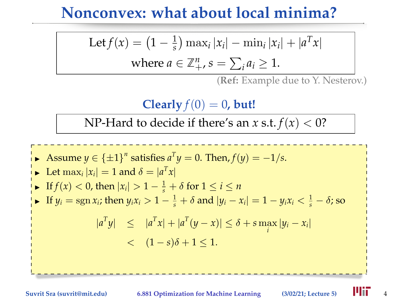Let 
$$
f(x) = (1 - \frac{1}{s}) \max_i |x_i| - \min_i |x_i| + |a^T x|
$$

where 
$$
a \in \mathbb{Z}_+^n
$$
,  $s = \sum_i a_i \ge 1$ .

(**Ref:** Example due to Y. Nesterov.)

**Clearly**  $f(0) = 0$ , but!

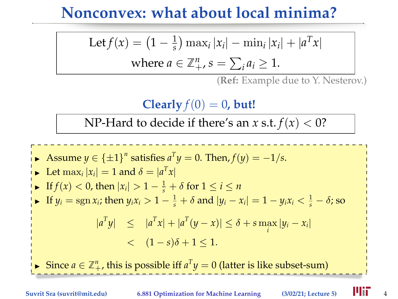Let 
$$
f(x) = (1 - \frac{1}{s}) \max_i |x_i| - \min_i |x_i| + |a^T x|
$$

where 
$$
a \in \mathbb{Z}_+^n
$$
,  $s = \sum_i a_i \ge 1$ .

(**Ref:** Example due to Y. Nesterov.)

**Clearly**  $f(0) = 0$ , but!

NP-Hard to decide if there's an *x* s.t.  $f(x) < 0$ ?

Assume  $y \in {\pm 1}^n$  satisfies  $a^T y = 0$ . Then,  $f(y) = -1/s$ .  $\blacktriangleright$  Let  $\max_i |x_i| = 1$  and  $\delta = |a^T x|$ ► If *f*(*x*) < 0, then  $|x_i| > 1 - \frac{1}{s} + \delta$  for  $1 \le i \le n$ ► If  $y_i = \text{sgn } x_i$ ; then  $y_i x_i > 1 - \frac{1}{s} + \delta$  and  $|y_i - x_i| = 1 - y_i x_i < \frac{1}{s} - \delta$ ; so  $|a^T y|$   $\leq |a^T x| + |a^T (y - x)| \leq \delta + s \max_i |y_i - x_i|$  $<$   $(1-s)\delta + 1 < 1$ . ► Since  $a \in \mathbb{Z}_+^n$ , this is possible iff  $a^T y = 0$  (latter is like subset-sum)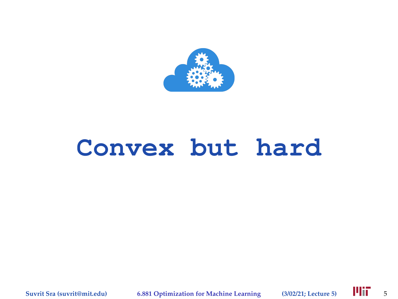

# **Convex but hard**

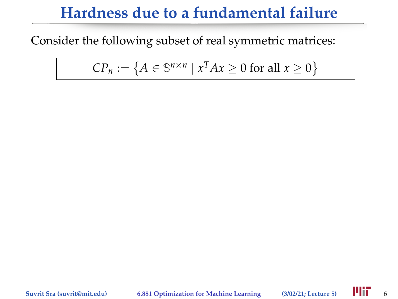Consider the following subset of real symmetric matrices:

 $\mathbb{C}P_n := \{ A \in \mathbb{S}^{n \times n} \mid x^T A x \geq 0 \text{ for all } x \geq 0 \}$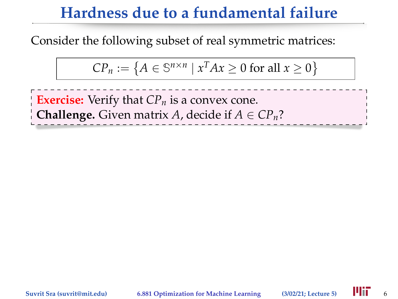Consider the following subset of real symmetric matrices:

$$
CP_n := \{ A \in \mathbb{S}^{n \times n} \mid x^T A x \ge 0 \text{ for all } x \ge 0 \}
$$

**Exercise:** Verify that *CP<sup>n</sup>* is a convex cone. **Challenge.** Given matrix *A*, decide if  $A \in CP_n$ ?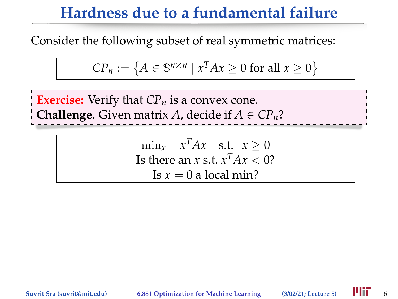Consider the following subset of real symmetric matrices:

$$
CP_n := \{ A \in \mathbb{S}^{n \times n} \mid x^T A x \ge 0 \text{ for all } x \ge 0 \}
$$

**Exercise:** Verify that *CP<sup>n</sup>* is a convex cone. **Challenge.** Given matrix *A*, decide if  $A \in CP_n$ ?

> $\min_x$  *x*<sup>T</sup>*Ax* s.t. *x* ≥ 0 Is there an *x* s.t.  $x^T Ax < 0$ ? Is  $x = 0$  a local min?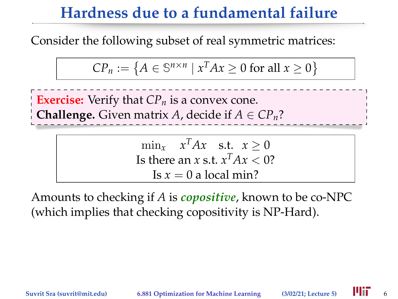Consider the following subset of real symmetric matrices:

$$
CP_n := \{ A \in \mathbb{S}^{n \times n} \mid x^T A x \ge 0 \text{ for all } x \ge 0 \}
$$

**Exercise:** Verify that *CP<sup>n</sup>* is a convex cone. **Challenge.** Given matrix *A*, decide if  $A \in CP_n$ ?

> $\min_x$  *x*<sup>T</sup>*Ax* s.t. *x* ≥ 0 Is there an *x* s.t.  $x^T Ax < 0$ ? Is  $x = 0$  a local min?

Amounts to checking if *A* is *copositive*, known to be co-NPC (which implies that checking copositivity is NP-Hard).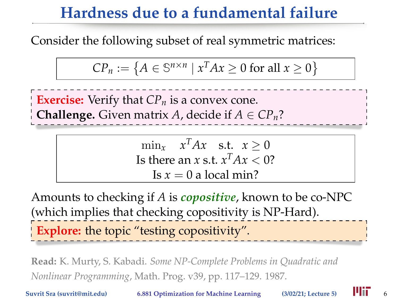Consider the following subset of real symmetric matrices:

$$
CP_n := \{ A \in \mathbb{S}^{n \times n} \mid x^T A x \ge 0 \text{ for all } x \ge 0 \}
$$

**Exercise:** Verify that *CP<sup>n</sup>* is a convex cone. **Challenge.** Given matrix *A*, decide if  $A \in CP_n$ ?

> $\min_x$  *x*<sup>T</sup>*Ax* s.t. *x* ≥ 0 Is there an *x* s.t.  $x^T Ax < 0$ ? Is  $x = 0$  a local min?

Amounts to checking if *A* is *copositive*, known to be co-NPC (which implies that checking copositivity is NP-Hard). **Explore:** the topic "testing copositivity".

**Read:** K. Murty, S. Kabadi. *Some NP-Complete Problems in Quadratic and Nonlinear Programming*, Math. Prog. v39, pp. 117–129. 1987.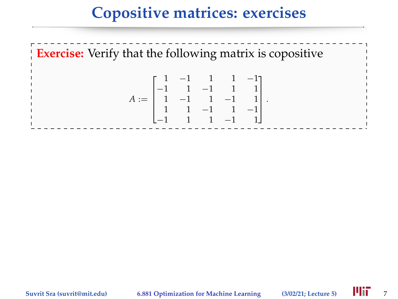#### **Copositive matrices: exercises**

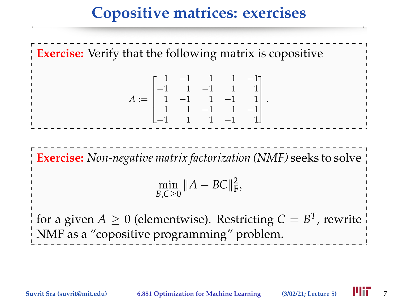#### **Copositive matrices: exercises**

**Exercise:** Verify that the following matrix is copositive *A* :=  $\sqrt{ }$  $\parallel$ 1 −1 1 1 −1 −1 1 −1 1 1 1 −1 1 −1 1 1 1 −1 1 −1 −1 1 1 −1 1 1  $\parallel$ . **Exercise:** *Non-negative matrix factorization (NMF)* seeks to solve  $\min_{B,C\geq 0} \|A - BC\|_{\rm F}^2,$ 

for a given  $A \geq 0$  (elementwise). Restricting  $C = B^T$ , rewrite NMF as a "copositive programming" problem.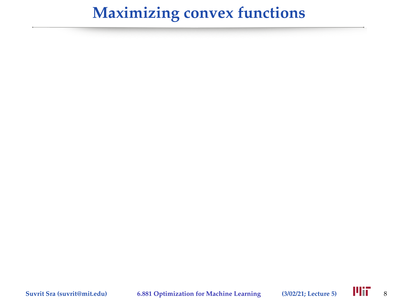# **Maximizing convex functions**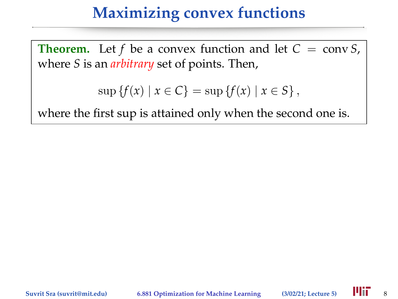#### **Maximizing convex functions**

**Theorem.** Let *f* be a convex function and let  $C = \text{conv } S$ , where *S* is an *arbitrary* set of points. Then,

$$
\sup \{f(x) \mid x \in C\} = \sup \{f(x) \mid x \in S\},\
$$

where the first sup is attained only when the second one is.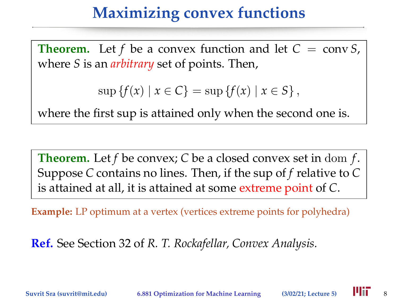#### **Maximizing convex functions**

**Theorem.** Let *f* be a convex function and let  $C = \text{conv } S$ , where *S* is an *arbitrary* set of points. Then,

 $\sup \{f(x) | x \in C\} = \sup \{f(x) | x \in S\},\$ 

where the first sup is attained only when the second one is.

**Theorem.** Let *f* be convex; *C* be a closed convex set in dom *f*. Suppose *C* contains no lines. Then, if the sup of *f* relative to *C* is attained at all, it is attained at some extreme point of *C*.

**Example:** LP optimum at a vertex (vertices extreme points for polyhedra)

**Ref.** See Section 32 of *R. T. Rockafellar, Convex Analysis.*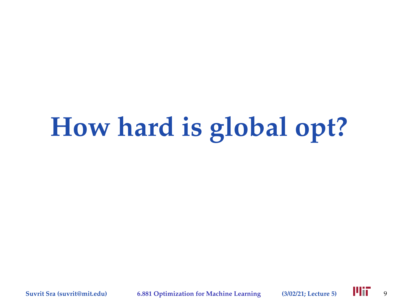# **How hard is global opt?**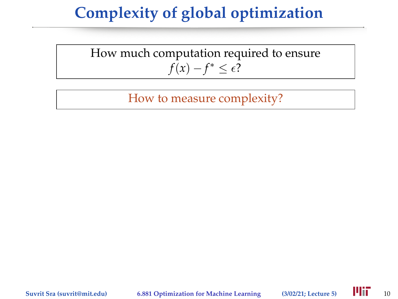How much computation required to ensure  $f(x) - f^* \leq \epsilon$ ?

How to measure complexity?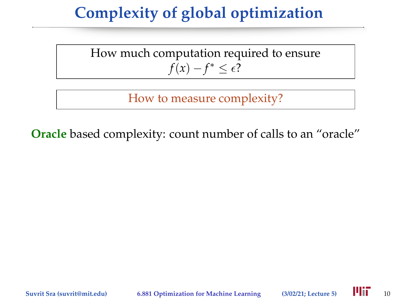How much computation required to ensure  $f(x) - f^* \leq \epsilon$ ?

How to measure complexity?

**Oracle** based complexity: count number of calls to an "oracle"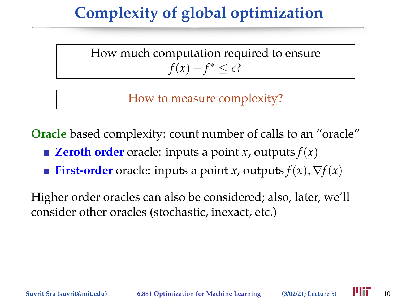How much computation required to ensure  $f(x) - f^* \leq \epsilon$ ?

How to measure complexity?

**Oracle** based complexity: count number of calls to an "oracle"

- **zeroth order** oracle: inputs a point *x*, outputs  $f(x)$
- **First-order** oracle: inputs a point *x*, outputs  $f(x)$ ,  $\nabla f(x)$

Higher order oracles can also be considered; also, later, we'll consider other oracles (stochastic, inexact, etc.)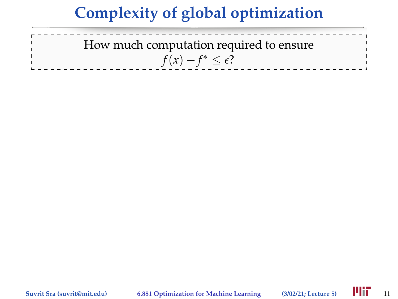How much computation required to ensure  $f(x) - f^* \leq \epsilon$ ?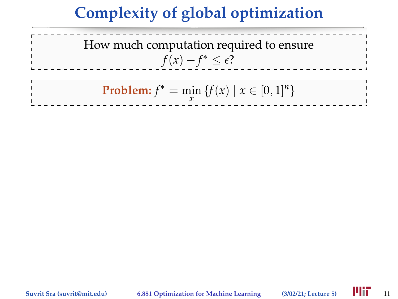

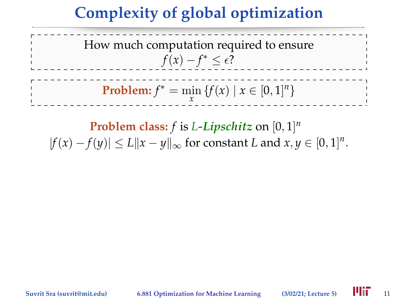How much computation required to ensure  $f(x) - f^* \leq \epsilon$ ? **Problem:**  $f^* = \min_{x} \{f(x) | x \in [0, 1]^n\}$ *x*

**Problem class:** *f* is *L-Lipschitz* on [0, 1] *n*  $|f(x) - f(y)| \le L ||x - y||_{\infty}$  for constant *L* and  $x, y \in [0, 1]^n$ .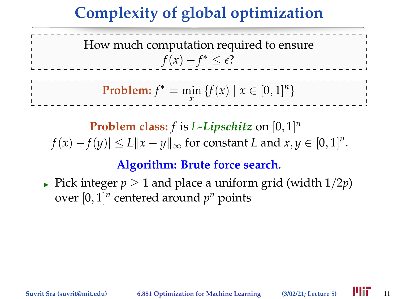How much computation required to ensure  $f(x) - f^* \leq \epsilon$ ? **Problem:**  $f^* = \min_{x} \{f(x) | x \in [0, 1]^n\}$ *x*

**Problem class:** *f* is *L-Lipschitz* on [0, 1] *n*  $|f(x) - f(y)| \le L ||x - y||_{\infty}$  for constant *L* and  $x, y \in [0, 1]^n$ .

#### **Algorithm: Brute force search.**

**Pick integer**  $p > 1$  and place a uniform grid (width  $1/2p$ ) over  $[0, 1]^n$  centered around  $p^n$  points

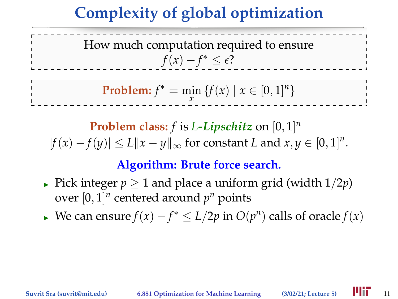How much computation required to ensure  $f(x) - f^* \leq \epsilon$ ? **Problem:**  $f^* = \min_{x} \{f(x) | x \in [0, 1]^n\}$ *x*

**Problem class:** *f* is *L-Lipschitz* on [0, 1] *n*  $|f(x) - f(y)| \le L ||x - y||_{\infty}$  for constant *L* and  $x, y \in [0, 1]^n$ .

#### **Algorithm: Brute force search.**

- **Pick integer**  $p > 1$  and place a uniform grid (width  $1/2p$ ) over  $[0, 1]^n$  centered around  $p^n$  points
- ► We can ensure  $f(\bar{x}) f^* \le L/2p$  in  $O(p^n)$  calls of oracle  $f(x)$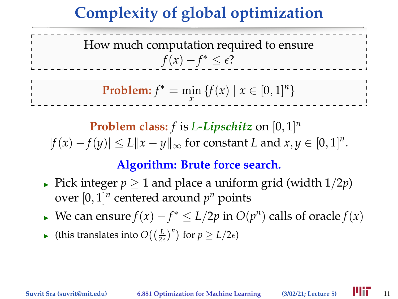# **Complexity of global optimization**

How much computation required to ensure  $f(x) - f^* \leq \epsilon$ ? **Problem:**  $f^* = \min_{x} \{f(x) | x \in [0, 1]^n\}$ 

**Problem class:** *f* is *L-Lipschitz* on [0, 1] *n*  $|f(x) - f(y)| \le L ||x - y||_{\infty}$  for constant *L* and  $x, y \in [0, 1]^n$ .

### **Algorithm: Brute force search.**

- **Pick integer**  $p > 1$  and place a uniform grid (width  $1/2p$ ) over  $[0, 1]^n$  centered around  $p^n$  points
- ► We can ensure  $f(\bar{x}) f^* \le L/2p$  in  $O(p^n)$  calls of oracle  $f(x)$
- ► (this translates into  $O((\frac{L}{2\epsilon})^n)$  for  $p \ge L/2\epsilon$ )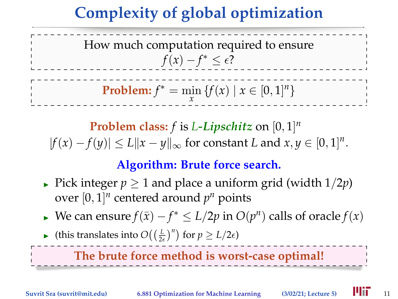# **Complexity of global optimization**

How much computation required to ensure  $f(x) - f^* \leq \epsilon$ ? **Problem:**  $f^* = \min_{x} \{f(x) | x \in [0, 1]^n\}$ 

**Problem class:** *f* is *L-Lipschitz* on [0, 1] *n*  $|f(x) - f(y)| \le L ||x - y||_{\infty}$  for constant *L* and  $x, y \in [0, 1]^n$ .

### **Algorithm: Brute force search.**

- **►** Pick integer  $p \ge 1$  and place a uniform grid (width  $1/2p$ ) over  $[0, 1]^n$  centered around  $p^n$  points
- ► We can ensure  $f(\bar{x}) f^* \le L/2p$  in  $O(p^n)$  calls of oracle  $f(x)$
- ► (this translates into  $O((\frac{L}{2\epsilon})^n)$  for  $p \ge L/2\epsilon$ )

### **The brute force method is worst-case optimal!**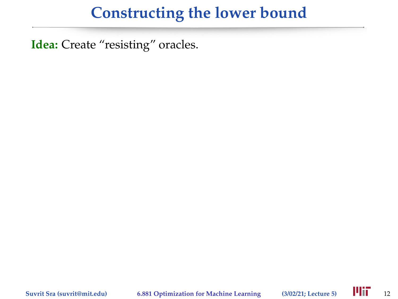**Idea:** Create "resisting" oracles.

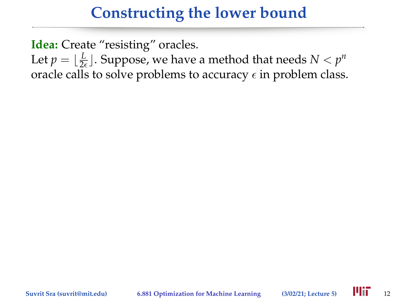**Idea:** Create "resisting" oracles.

Let  $p = \lfloor \frac{L}{2\epsilon} \rfloor$ . Suppose, we have a method that needs  $N < p^n$ oracle calls to solve problems to accuracy  $\epsilon$  in problem class.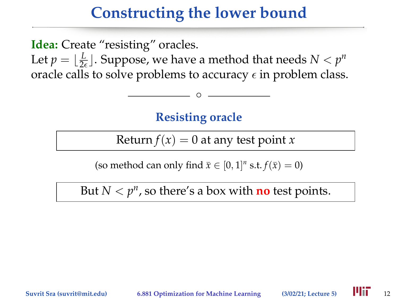**Idea:** Create "resisting" oracles.

Let  $p = \lfloor \frac{L}{2\epsilon} \rfloor$ . Suppose, we have a method that needs  $N < p^n$ oracle calls to solve problems to accuracy  $\epsilon$  in problem class.

**Resisting oracle**

 $^{\circ}$ 

Return  $f(x) = 0$  at any test point *x* 

(so method can only find  $\bar{x} \in [0, 1]^n$  s.t.  $f(\bar{x}) = 0$ )

But  $N < p<sup>n</sup>$ , so there's a box with **no** test points.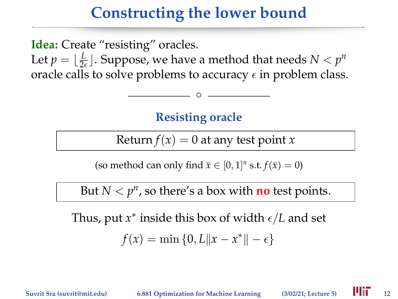**Idea:** Create "resisting" oracles.

Let  $p = \lfloor \frac{L}{2\epsilon} \rfloor$ . Suppose, we have a method that needs  $N < p^n$ oracle calls to solve problems to accuracy  $\epsilon$  in problem class.

**Resisting oracle**

 $^{\circ}$ 

Return  $f(x) = 0$  at any test point *x* 

(so method can only find  $\bar{x} \in [0, 1]^n$  s.t.  $f(\bar{x}) = 0$ )

But  $N < p<sup>n</sup>$ , so there's a box with **no** test points.

Thus, put  $x^*$  inside this box of width  $\epsilon/L$  and set

$$
f(x) = \min\{0, L \|x - x^*\| - \epsilon\}
$$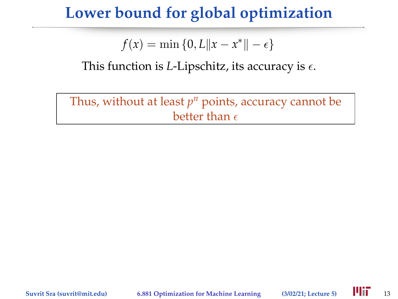## **Lower bound for global optimization**

 $f(x) = \min\{0, L \|x - x^*\| - \epsilon\}$ 

This function is *L*-Lipschitz, its accuracy is  $\epsilon$ .

Thus, without at least *p <sup>n</sup>* points, accuracy cannot be better than  $\epsilon$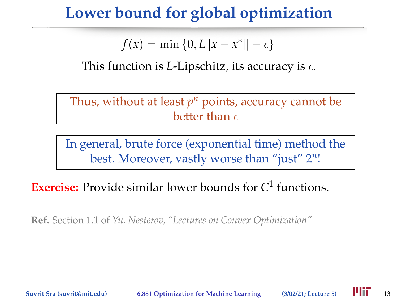## **Lower bound for global optimization**

 $f(x) = \min\{0, L \|x - x^*\| - \epsilon\}$ 

This function is *L*-Lipschitz, its accuracy is  $\epsilon$ .

Thus, without at least *p <sup>n</sup>* points, accuracy cannot be better than  $\epsilon$ 

In general, brute force (exponential time) method the best. Moreover, vastly worse than "just" 2*<sup>n</sup>* !

### **Exercise:** Provide similar lower bounds for *C* 1 functions.

**Ref.** Section 1.1 of *Yu. Nesterov, "Lectures on Convex Optimization"*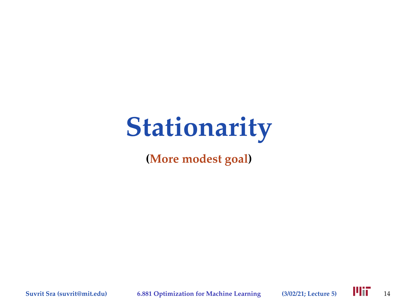# **Stationarity**

**(More modest goal)**

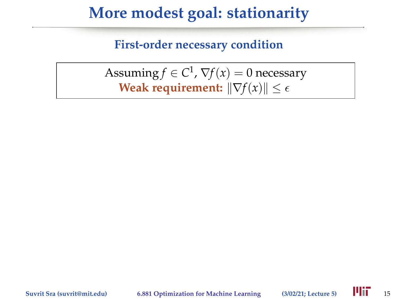#### **First-order necessary condition**

Assuming  $f \in C^1$ ,  $\nabla f(x) = 0$  necessary **Weak requirement:**  $\|\nabla f(x)\| \leq \epsilon$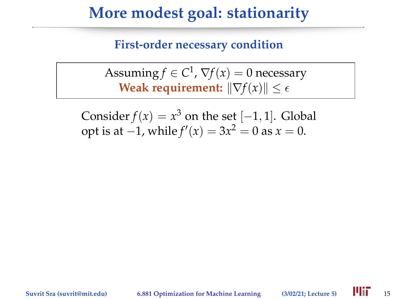**First-order necessary condition**

Assuming  $f \in C^1$ ,  $\nabla f(x) = 0$  necessary **Weak requirement:**  $\|\nabla f(x)\| \leq \epsilon$ 

Consider  $f(x) = x^3$  on the set  $[-1, 1]$ . Global opt is at  $-1$ , while  $f'(x) = 3x^2 = 0$  as  $x = 0$ .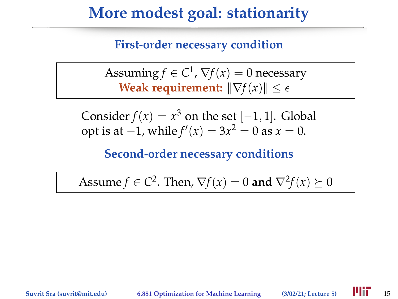**First-order necessary condition**

Assuming  $f \in C^1$ ,  $\nabla f(x) = 0$  necessary **Weak requirement:**  $\|\nabla f(x)\| \leq \epsilon$ 

Consider  $f(x) = x^3$  on the set  $[-1, 1]$ . Global opt is at  $-1$ , while  $f'(x) = 3x^2 = 0$  as  $x = 0$ .

**Second-order necessary conditions**

Assume  $f \in C^2$ . Then,  $\nabla f(x) = 0$  and  $\nabla^2 f(x) \succeq 0$ 

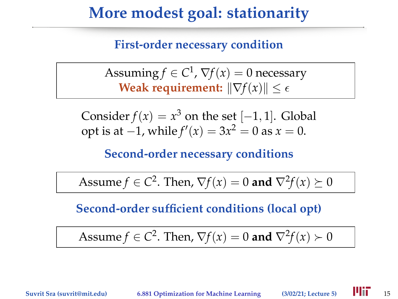**First-order necessary condition**

Assuming  $f \in C^1$ ,  $\nabla f(x) = 0$  necessary **Weak requirement:**  $\|\nabla f(x)\| \leq \epsilon$ 

Consider  $f(x) = x^3$  on the set  $[-1, 1]$ . Global opt is at  $-1$ , while  $f'(x) = 3x^2 = 0$  as  $x = 0$ .

**Second-order necessary conditions**

Assume  $f \in C^2$ . Then,  $\nabla f(x) = 0$  and  $\nabla^2 f(x) \succeq 0$ 

**Second-order sufficient conditions (local opt)**

Assume  $f \in C^2$ . Then,  $\nabla f(x) = 0$  and  $\nabla^2 f(x) \succ 0$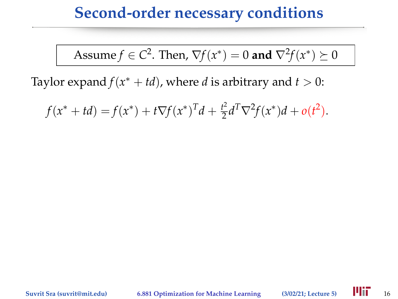### **Second-order necessary conditions**

Assume  $f \in C^2$ . Then,  $\nabla f(x^*) = 0$  and  $\nabla^2 f(x^*) \succeq 0$ 

Taylor expand  $f(x^* + td)$ , where *d* is arbitrary and  $t > 0$ :

 $f(x^* + td) = f(x^*) + t\nabla f(x^*)^T d + \frac{t^2}{2}$  $\frac{t^2}{2}d^T\nabla^2 f(x^*)d + o(t^2).$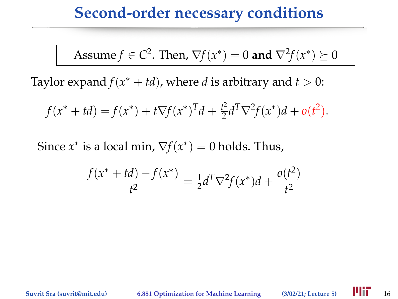### **Second-order necessary conditions**

Assume 
$$
f \in C^2
$$
. Then,  $\nabla f(x^*) = 0$  and  $\nabla^2 f(x^*) \succeq 0$ 

Taylor expand  $f(x^* + td)$ , where *d* is arbitrary and  $t > 0$ :

$$
f(x^* + td) = f(x^*) + t\nabla f(x^*)^T d + \frac{t^2}{2} d^T \nabla^2 f(x^*) d + o(t^2).
$$

Since  $x^*$  is a local min,  $\nabla f(x^*) = 0$  holds. Thus,

$$
\frac{f(x^* + td) - f(x^*)}{t^2} = \frac{1}{2}d^T \nabla^2 f(x^*)d + \frac{o(t^2)}{t^2}
$$

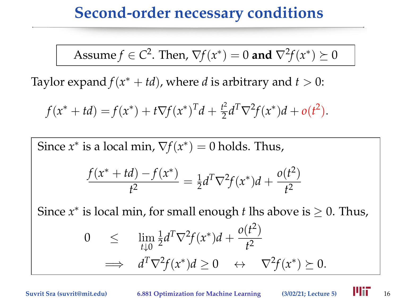### **Second-order necessary conditions**

Assume 
$$
f \in C^2
$$
. Then,  $\nabla f(x^*) = 0$  and  $\nabla^2 f(x^*) \succeq 0$ 

Taylor expand  $f(x^* + td)$ , where *d* is arbitrary and  $t > 0$ :

$$
f(x^* + td) = f(x^*) + t\nabla f(x^*)^T d + \frac{t^2}{2} d^T \nabla^2 f(x^*) d + o(t^2).
$$

Since  $x^*$  is a local min,  $\nabla f(x^*) = 0$  holds. Thus,  $f(x^* + td) - f(x^*)$  $\frac{u_1 - u_2}{t^2} = \frac{1}{2}$  $\frac{1}{2}d^T\nabla^2 f(x^*)d + \frac{o(t^2)}{t^2}$ *t* 2

Since  $x^*$  is local min, for small enough *t* lhs above is  $\geq 0$ . Thus,  $0 \leq \lim_{t \downarrow 0}$ 1  $\frac{1}{2}d^T\nabla^2 f(x^*)d + \frac{o(t^2)}{t^2}$ *t* 2  $\implies d^T \nabla^2 f(x^*) d \geq 0 \quad \leftrightarrow \quad \nabla^2 f(x^*) \succeq 0.$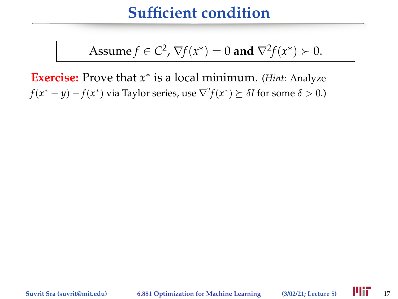### **Sufficient condition**

Assume 
$$
f \in C^2
$$
,  $\nabla f(x^*) = 0$  and  $\nabla^2 f(x^*) \succ 0$ .

**Exercise:** Prove that *x* ∗ is a local minimum. (*Hint:* Analyze *f*(*x*<sup>\*</sup> + *y*) − *f*(*x*<sup>\*</sup>) via Taylor series, use  $∇$ <sup>2</sup>*f*(*x*<sup>\*</sup>)  $≥$  δ*I* for some δ > 0.)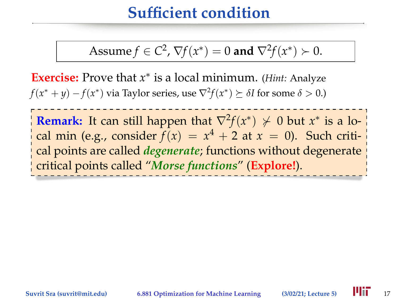### **Sufficient condition**

Assume 
$$
f \in C^2
$$
,  $\nabla f(x^*) = 0$  and  $\nabla^2 f(x^*) \succ 0$ .

**Exercise:** Prove that *x* ∗ is a local minimum. (*Hint:* Analyze *f*(*x*<sup>\*</sup> + *y*) − *f*(*x*<sup>\*</sup>) via Taylor series, use  $∇$ <sup>2</sup>*f*(*x*<sup>\*</sup>)  $≥$  δ*I* for some δ > 0.)

**Remark:** It can still happen that  $\nabla^2 f(x^*) \nsucc 0$  but  $x^*$  is a local min (e.g., consider  $f(x) = x^4 + 2$  at  $x = 0$ ). Such critical points are called *degenerate*; functions without degenerate critical points called "*Morse functions*" (**Explore!**).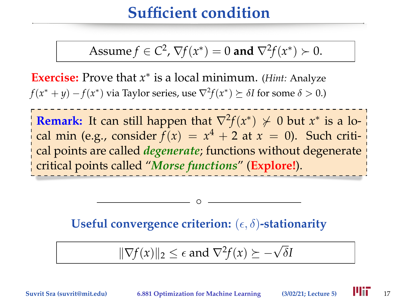## **Sufficient condition**

Assume 
$$
f \in C^2
$$
,  $\nabla f(x^*) = 0$  and  $\nabla^2 f(x^*) \succ 0$ .

**Exercise:** Prove that *x* ∗ is a local minimum. (*Hint:* Analyze *f*(*x*<sup>\*</sup> + *y*) − *f*(*x*<sup>\*</sup>) via Taylor series, use  $∇$ <sup>2</sup>*f*(*x*<sup>\*</sup>)  $≥$  δ*I* for some δ > 0.)

**Remark:** It can still happen that  $\nabla^2 f(x^*) \nsucc 0$  but  $x^*$  is a local min (e.g., consider  $f(x) = x^4 + 2$  at  $x = 0$ ). Such critical points are called *degenerate*; functions without degenerate critical points called "*Morse functions*" (**Explore!**).

Useful convergence criterion:  $(\epsilon, \delta)$ -stationarity

 $^{\circ}$ 

$$
\|\nabla f(x)\|_2 \leq \epsilon \text{ and } \nabla^2 f(x) \succeq -\sqrt{\delta}I
$$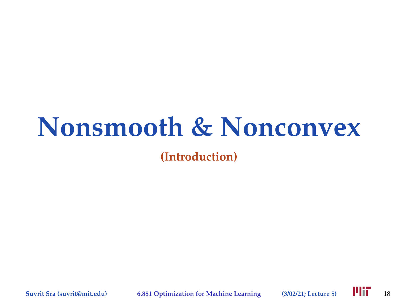# **Nonsmooth & Nonconvex**

**(Introduction)**

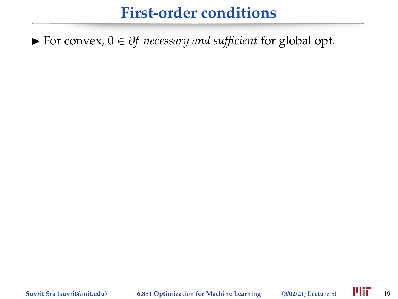## **First-order conditions**

I For convex, 0 ∈ ∂*f necessary and sufficient* for global opt.

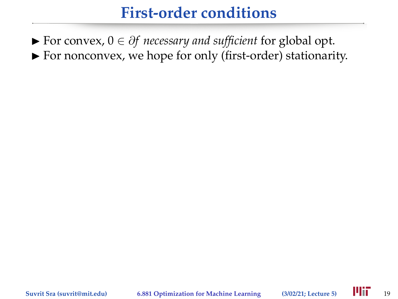### **First-order conditions**

I For convex, 0 ∈ ∂*f necessary and sufficient* for global opt.  $\blacktriangleright$  For nonconvex, we hope for only (first-order) stationarity.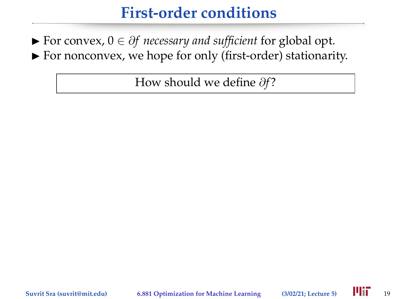## **First-order conditions**

I For convex, 0 ∈ ∂*f necessary and sufficient* for global opt.  $\blacktriangleright$  For nonconvex, we hope for only (first-order) stationarity.

How should we define  $\partial f$ ?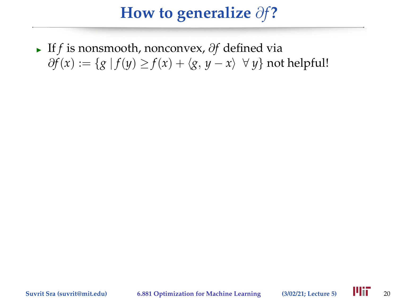<sup>I</sup> If *f* is nonsmooth, nonconvex, ∂*f* defined via  $∂f(x) := {g | f(y) ≥ f(x) + (g, y - x) ∀ y}$  not helpful!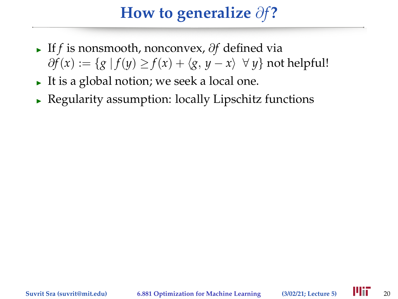- <sup>I</sup> If *f* is nonsmooth, nonconvex, ∂*f* defined via  $∂f(x) := {g | f(y) ≥ f(x) + (g, y - x) ∀ y}$  not helpful!
- It is a global notion; we seek a local one.
- Regularity assumption: locally Lipschitz functions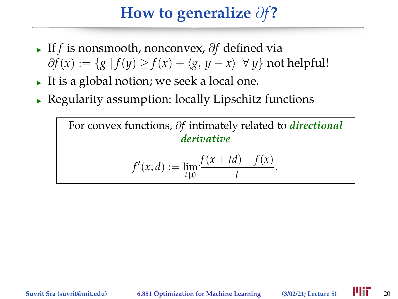- <sup>I</sup> If *f* is nonsmooth, nonconvex, ∂*f* defined via  $∂f(x) := {g | f(y) ≥ f(x) + (g, y - x) ∀ y}$  not helpful!
- It is a global notion; we seek a local one.
- Regularity assumption: locally Lipschitz functions

For convex functions, ∂*f* intimately related to *directional derivative*  $f'(x; d) := \lim_{t \downarrow 0}$  $f(x + td) - f(x)$  $\frac{f(x)}{t}$ .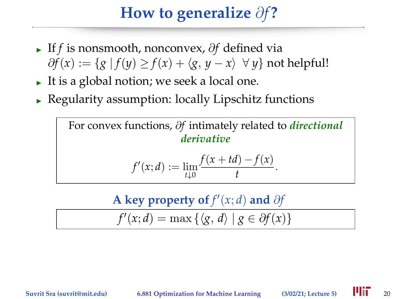- <sup>I</sup> If *f* is nonsmooth, nonconvex, ∂*f* defined via  $∂f(x) := {g | f(y) ≥ f(x) + (g, y - x) ∀ y}$  not helpful!
- It is a global notion; we seek a local one.
- Regularity assumption: locally Lipschitz functions

For convex functions, ∂*f* intimately related to *directional derivative*  $f'(x; d) := \lim_{t \downarrow 0}$  $f(x + td) - f(x)$  $\frac{f(x)}{t}$ .

A key property of  $f'(x; d)$  and  $\partial f$ 

$$
f'(x; d) = \max\left\{ \langle g, d \rangle \mid g \in \partial f(x) \right\}
$$

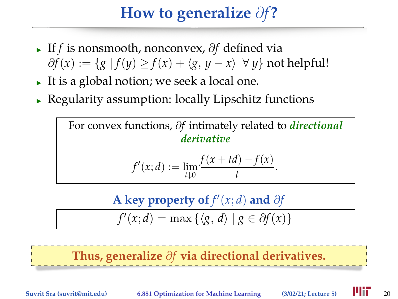- <sup>I</sup> If *f* is nonsmooth, nonconvex, ∂*f* defined via  $∂f(x) := {g | f(y) ≥ f(x) + (g, y - x) ∀ y}$  not helpful!
- It is a global notion; we seek a local one.
- Regularity assumption: locally Lipschitz functions

For convex functions, ∂*f* intimately related to *directional derivative*  $f'(x; d) := \lim_{t \downarrow 0}$  $f(x + td) - f(x)$  $\frac{f(x)}{t}$ .

A key property of  $f'(x; d)$  and  $\partial f$ 

$$
f'(x; d) = \max\left\{ \langle g, d \rangle \mid g \in \partial f(x) \right\}
$$

**Thus, generalize** ∂*f* **via directional derivatives.**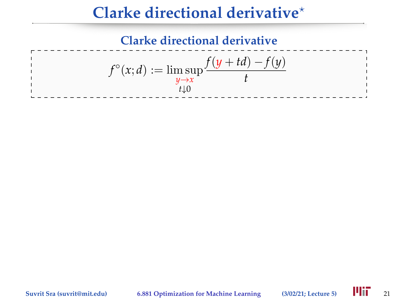## **Clarke directional derivative**?

### **Clarke directional derivative**  $f^{\circ}(x; d) := \limsup_{y \to x}$ *t*↓0 *f*(*y* + *td*) − *f*(*y*) *t*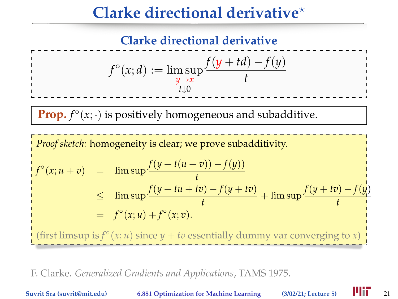## **Clarke directional derivative**?

**Clarke directional derivative**

$$
f^{\circ}(x; d) := \limsup_{\substack{y \to x \\ t \downarrow 0}} \frac{f(y + td) - f(y)}{t}
$$

**Prop.**  $f^{\circ}(x; \cdot)$  is positively homogeneous and subadditive.

*Proof sketch:* homogeneity is clear; we prove subadditivity.  $f^{\circ}(x; u + v) = \limsup \frac{f(y + t(u + v)) - f(y)}{t}$  $\leq$  lim sup  $\frac{f(y+tu+tv)-f(y+tv)}{t}$  + lim sup  $\frac{f(y+tv)-f(y)}{t}$  $= f^{\circ}(x; u) + f^{\circ}(x; v).$ (first limsup is  $f^{\circ}(x; u)$  since  $y + tv$  essentially dummy var converging to *x*)

F. Clarke. *Generalized Gradients and Applications*, TAMS 1975.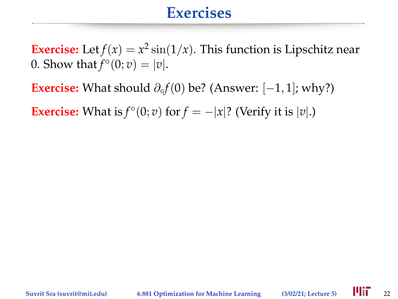### **Exercises**

**Exercise:** Let  $f(x) = x^2 \sin(1/x)$ . This function is Lipschitz near 0. Show that  $f^{\circ}(0; v) = |v|$ .

**Exercise:** What should  $\partial_{\varphi} f(0)$  be? (Answer:  $[-1, 1]$ ; why?)

**Exercise:** What is  $f^{\circ}(0; v)$  for  $f = -|x|$ ? (Verify it is  $|v|$ .)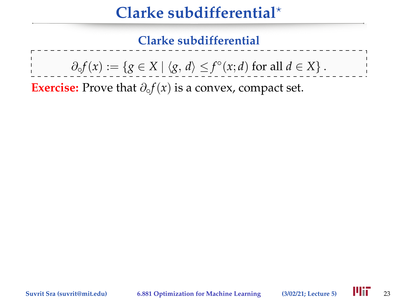# **Clarke subdifferential**?

**Clarke subdifferential**

 $\partial_{\varphi} f(x) := \{ g \in X \mid \langle g, d \rangle \leq f^{\circ}(x; d) \text{ for all } d \in X \}.$ 

**Exercise:** Prove that  $\partial_{\varphi} f(x)$  is a convex, compact set.

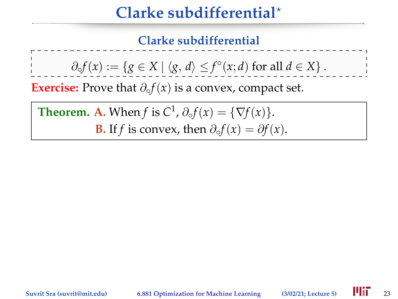# **Clarke subdifferential**?

### **Clarke subdifferential**

 $\partial_{\varphi} f(x) := \{ g \in X \mid \langle g, d \rangle \leq f^{\circ}(x; d) \text{ for all } d \in X \}.$ 

**Exercise:** Prove that  $\partial_{\varphi} f(x)$  is a convex, compact set.

**Theorem. A.** When *f* is  $C^1$ ,  $\partial_0 f(x) = \{\nabla f(x)\}.$ **B.** If *f* is convex, then  $\partial_{\varphi} f(x) = \partial f(x)$ .

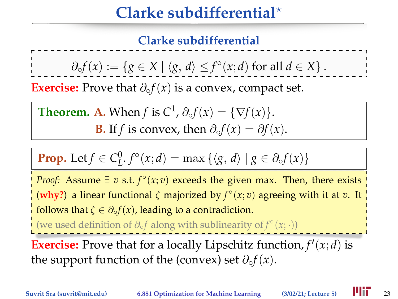# **Clarke subdifferential**?

### **Clarke subdifferential**

 $\partial_{\varphi} f(x) := \{ g \in X \mid \langle g, d \rangle \leq f^{\circ}(x; d) \text{ for all } d \in X \}.$ 

**Exercise:** Prove that  $\partial_{\varphi} f(x)$  is a convex, compact set.

**Theorem. A.** When *f* is  $C^1$ ,  $\partial_0 f(x) = \{\nabla f(x)\}.$ **B.** If *f* is convex, then  $\partial_{\varphi} f(x) = \partial f(x)$ .

**Prop.** Let 
$$
f \in C^0_L
$$
,  $f^{\circ}(x;d) = \max \{ \langle g, d \rangle \mid g \in \partial_{\circ} f(x) \}$ 

*Proof:* Assume  $\exists v$  s.t.  $f^{\circ}(x; v)$  exceeds the given max. Then, there exists (why?) a linear functional  $\zeta$  majorized by  $f^{\circ}(x; v)$  agreeing with it at  $v$ . It follows that  $\zeta \in \partial_{\varphi} f(x)$ , leading to a contradiction.

(we used definition of ∂◦*f* along with sublinearity of *f* ◦ (*x*; ·))

**Exercise:** Prove that for a locally Lipschitz function,  $f'(x; d)$  is the support function of the (convex) set  $\partial_{\varphi}f(x)$ .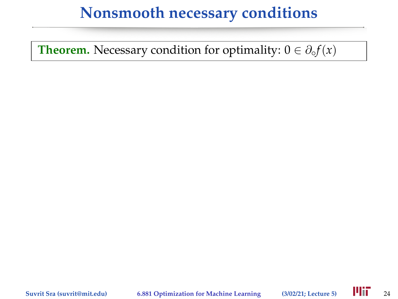### **Nonsmooth necessary conditions**

**Theorem.** Necessary condition for optimality:  $0 \in \partial_{\varphi} f(x)$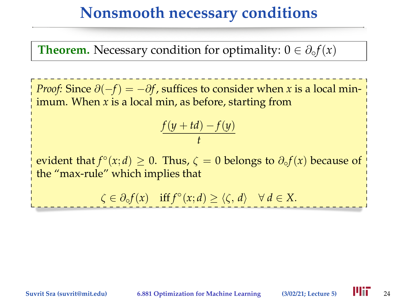### **Nonsmooth necessary conditions**

**Theorem.** Necessary condition for optimality:  $0 \in \partial_{\varphi} f(x)$ 

*Proof:* Since  $\partial(-f) = -\partial f$ , suffices to consider when *x* is a local minimum. When *x* is a local min, as before, starting from

$$
\frac{f(y+td)-f(y)}{t}
$$

evident that  $f^{\circ}(x; d) \geq 0$ . Thus,  $\zeta = 0$  belongs to  $\partial_{\circ} f(x)$  because of the "max-rule" which implies that

 $\zeta \in \partial_{\varphi} f(x)$  if  $f^{\circ}(x; d) \ge \langle \zeta, d \rangle \quad \forall d \in X$ .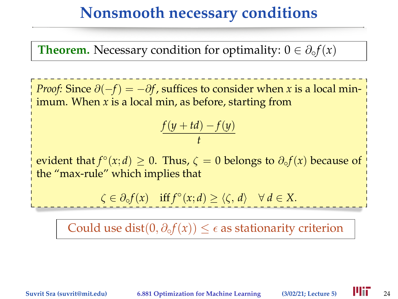### **Nonsmooth necessary conditions**

**Theorem.** Necessary condition for optimality:  $0 \in \partial_{\varphi} f(x)$ 

*Proof:* Since  $\partial(-f) = -\partial f$ , suffices to consider when *x* is a local minimum. When *x* is a local min, as before, starting from

$$
\frac{f(y+td)-f(y)}{t}
$$

evident that  $f^{\circ}(x; d) \geq 0$ . Thus,  $\zeta = 0$  belongs to  $\partial_{\circ} f(x)$  because of the "max-rule" which implies that

 $\zeta \in \partial_{\varphi} f(x)$  if  $f^{\circ}(x; d) \ge \langle \zeta, d \rangle \quad \forall d \in X$ .

Could use dist $(0, \partial_{\varphi} f(x)) \leq \epsilon$  as stationarity criterion

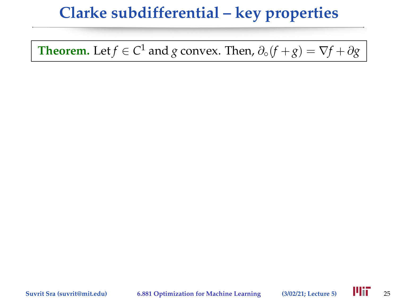**Theorem.** Let  $f \in C^1$  and  $g$  convex. Then,  $\partial \circ (f + g) = \nabla f + \partial g$ 

**Suvrit Sra (suvrit@mit.edu) 6.881 Optimization for Machine Learning (3/02/21; Lecture 5)** 25

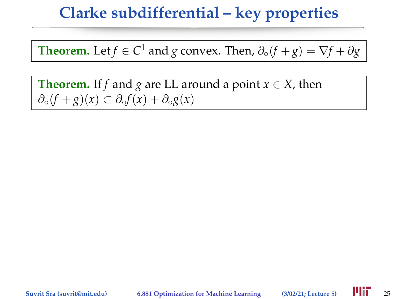**Theorem.** Let  $f \in C^1$  and  $g$  convex. Then,  $\partial \circ (f + g) = \nabla f + \partial g$ 

**Theorem.** If *f* and *g* are LL around a point  $x \in X$ , then ∂◦(*f* + *g*)(*x*) ⊂ ∂◦*f*(*x*) + ∂◦*g*(*x*)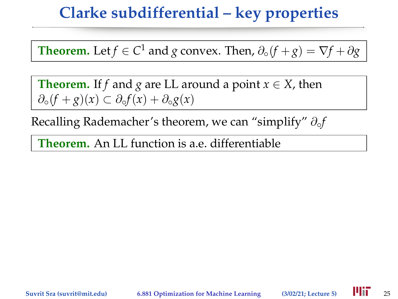**Theorem.** Let  $f \in C^1$  and  $g$  convex. Then,  $\partial \circ (f + g) = \nabla f + \partial g$ 

**Theorem.** If *f* and *g* are LL around a point  $x \in X$ , then ∂◦(*f* + *g*)(*x*) ⊂ ∂◦*f*(*x*) + ∂◦*g*(*x*)

Recalling Rademacher's theorem, we can "simplify" ∂◦*f*

**Theorem.** An LL function is a.e. differentiable